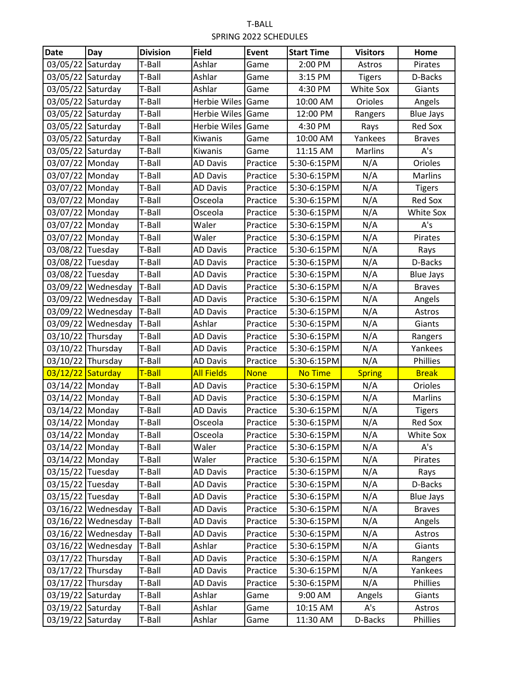| <b>Date</b>       | Day                  | <b>Division</b> | <b>Field</b>      | Event       | <b>Start Time</b> | <b>Visitors</b> | Home             |
|-------------------|----------------------|-----------------|-------------------|-------------|-------------------|-----------------|------------------|
| 03/05/22          | Saturday             | T-Ball          | Ashlar            | Game        | 2:00 PM           | Astros          | Pirates          |
| 03/05/22          | Saturday             | T-Ball          | Ashlar            | Game        | 3:15 PM           | <b>Tigers</b>   | D-Backs          |
| 03/05/22 Saturday |                      | T-Ball          | Ashlar            | Game        | 4:30 PM           | White Sox       | Giants           |
| 03/05/22 Saturday |                      | T-Ball          | Herbie Wiles Game |             | 10:00 AM          | Orioles         | Angels           |
| 03/05/22 Saturday |                      | T-Ball          | Herbie Wiles Game |             | 12:00 PM          | Rangers         | <b>Blue Jays</b> |
| 03/05/22 Saturday |                      | T-Ball          | Herbie Wiles      | Game        | 4:30 PM           | Rays            | <b>Red Sox</b>   |
| 03/05/22 Saturday |                      | T-Ball          | Kiwanis           | Game        | 10:00 AM          | Yankees         | <b>Braves</b>    |
| 03/05/22 Saturday |                      | T-Ball          | Kiwanis           | Game        | 11:15 AM          | Marlins         | A's              |
| 03/07/22 Monday   |                      | T-Ball          | <b>AD Davis</b>   | Practice    | 5:30-6:15PM       | N/A             | Orioles          |
| 03/07/22 Monday   |                      | T-Ball          | <b>AD Davis</b>   | Practice    | 5:30-6:15PM       | N/A             | Marlins          |
| 03/07/22 Monday   |                      | T-Ball          | <b>AD Davis</b>   | Practice    | 5:30-6:15PM       | N/A             | <b>Tigers</b>    |
| 03/07/22 Monday   |                      | T-Ball          | Osceola           | Practice    | 5:30-6:15PM       | N/A             | <b>Red Sox</b>   |
| 03/07/22 Monday   |                      | T-Ball          | Osceola           | Practice    | 5:30-6:15PM       | N/A             | White Sox        |
| 03/07/22 Monday   |                      | T-Ball          | Waler             | Practice    | 5:30-6:15PM       | N/A             | A's              |
| 03/07/22 Monday   |                      | T-Ball          | Waler             | Practice    | 5:30-6:15PM       | N/A             | Pirates          |
| 03/08/22 Tuesday  |                      | T-Ball          | <b>AD Davis</b>   | Practice    | 5:30-6:15PM       | N/A             | Rays             |
| 03/08/22 Tuesday  |                      | T-Ball          | <b>AD Davis</b>   | Practice    | 5:30-6:15PM       | N/A             | D-Backs          |
| 03/08/22 Tuesday  |                      | T-Ball          | <b>AD Davis</b>   | Practice    | 5:30-6:15PM       | N/A             | <b>Blue Jays</b> |
|                   | 03/09/22 Wednesday   | T-Ball          | <b>AD Davis</b>   | Practice    | 5:30-6:15PM       | N/A             | <b>Braves</b>    |
|                   | 03/09/22 Wednesday   | T-Ball          | <b>AD Davis</b>   | Practice    | 5:30-6:15PM       | N/A             | Angels           |
|                   | 03/09/22 Wednesday   | T-Ball          | <b>AD Davis</b>   | Practice    | 5:30-6:15PM       | N/A             | Astros           |
|                   | 03/09/22 Wednesday   | T-Ball          | Ashlar            | Practice    | 5:30-6:15PM       | N/A             | Giants           |
| 03/10/22 Thursday |                      | T-Ball          | <b>AD Davis</b>   | Practice    | 5:30-6:15PM       | N/A             | Rangers          |
| 03/10/22 Thursday |                      | T-Ball          | <b>AD Davis</b>   | Practice    | 5:30-6:15PM       | N/A             | Yankees          |
| 03/10/22 Thursday |                      | T-Ball          | <b>AD Davis</b>   | Practice    | 5:30-6:15PM       | N/A             | Phillies         |
| 03/12/22 Saturday |                      | T-Ball          | <b>All Fields</b> | <b>None</b> | <b>No Time</b>    | <b>Spring</b>   | <b>Break</b>     |
| 03/14/22 Monday   |                      | T-Ball          | <b>AD Davis</b>   | Practice    | 5:30-6:15PM       | N/A             | Orioles          |
| 03/14/22 Monday   |                      | T-Ball          | <b>AD Davis</b>   | Practice    | 5:30-6:15PM       | N/A             | <b>Marlins</b>   |
| 03/14/22 Monday   |                      | T-Ball          | <b>AD Davis</b>   | Practice    | 5:30-6:15PM       | N/A             | <b>Tigers</b>    |
| 03/14/22 Monday   |                      | T-Ball          | Osceola           | Practice    | 5:30-6:15PM       | N/A             | <b>Red Sox</b>   |
| 03/14/22 Monday   |                      | T-Ball          | Osceola           | Practice    | 5:30-6:15PM       | N/A             | White Sox        |
| 03/14/22 Monday   |                      | T-Ball          | Waler             | Practice    | 5:30-6:15PM       | N/A             | A's              |
| 03/14/22 Monday   |                      | T-Ball          | Waler             | Practice    | 5:30-6:15PM       | N/A             | Pirates          |
| 03/15/22 Tuesday  |                      | T-Ball          | <b>AD Davis</b>   | Practice    | 5:30-6:15PM       | N/A             | Rays             |
| 03/15/22 Tuesday  |                      | T-Ball          | <b>AD Davis</b>   | Practice    | 5:30-6:15PM       | N/A             | D-Backs          |
| 03/15/22 Tuesday  |                      | T-Ball          | <b>AD Davis</b>   | Practice    | 5:30-6:15PM       | N/A             | <b>Blue Jays</b> |
|                   | 03/16/22 Wednesday   | T-Ball          | <b>AD Davis</b>   | Practice    | 5:30-6:15PM       | N/A             | <b>Braves</b>    |
|                   | 03/16/22 Wednesday   | T-Ball          | <b>AD Davis</b>   | Practice    | 5:30-6:15PM       | N/A             | Angels           |
|                   | $03/16/22$ Wednesday | T-Ball          | <b>AD Davis</b>   | Practice    | 5:30-6:15PM       | N/A             | Astros           |
|                   | 03/16/22 Wednesday   | T-Ball          | Ashlar            | Practice    | 5:30-6:15PM       | N/A             | Giants           |
| 03/17/22 Thursday |                      | T-Ball          | <b>AD Davis</b>   | Practice    | 5:30-6:15PM       | N/A             | Rangers          |
| 03/17/22 Thursday |                      | T-Ball          | <b>AD Davis</b>   | Practice    | 5:30-6:15PM       | N/A             | Yankees          |
| 03/17/22 Thursday |                      | T-Ball          | <b>AD Davis</b>   | Practice    | 5:30-6:15PM       | N/A             | Phillies         |
| 03/19/22 Saturday |                      | T-Ball          | Ashlar            | Game        | 9:00 AM           | Angels          | Giants           |
| 03/19/22 Saturday |                      | T-Ball          | Ashlar            | Game        | 10:15 AM          | A's             | Astros           |
| 03/19/22 Saturday |                      | T-Ball          | Ashlar            | Game        | 11:30 AM          | D-Backs         | Phillies         |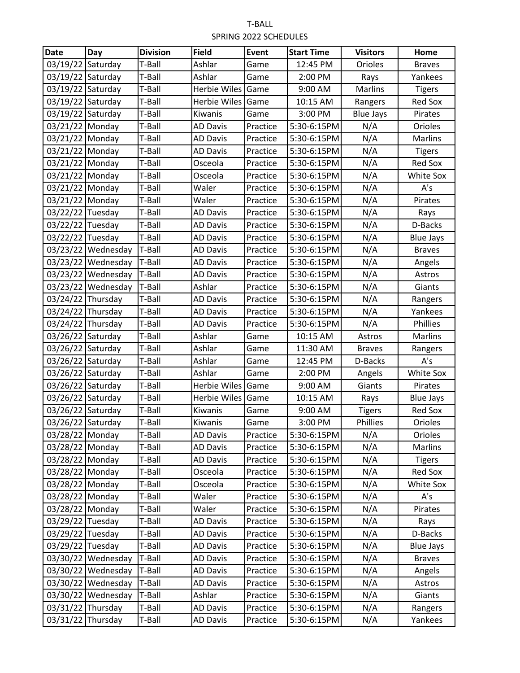| <b>Date</b>       | Day                  | <b>Division</b> | <b>Field</b>        | <b>Event</b> | <b>Start Time</b> | <b>Visitors</b>  | Home             |
|-------------------|----------------------|-----------------|---------------------|--------------|-------------------|------------------|------------------|
| 03/19/22          | Saturday             | T-Ball          | Ashlar              | Game         | 12:45 PM          | Orioles          | <b>Braves</b>    |
| 03/19/22          | Saturday             | T-Ball          | Ashlar              | Game         | 2:00 PM           | Rays             | Yankees          |
| 03/19/22 Saturday |                      | T-Ball          | Herbie Wiles        | Game         | 9:00 AM           | Marlins          | <b>Tigers</b>    |
| 03/19/22 Saturday |                      | T-Ball          | <b>Herbie Wiles</b> | Game         | 10:15 AM          | Rangers          | <b>Red Sox</b>   |
| 03/19/22 Saturday |                      | T-Ball          | Kiwanis             | Game         | 3:00 PM           | <b>Blue Jays</b> | Pirates          |
| 03/21/22 Monday   |                      | T-Ball          | <b>AD Davis</b>     | Practice     | 5:30-6:15PM       | N/A              | Orioles          |
| 03/21/22 Monday   |                      | T-Ball          | <b>AD Davis</b>     | Practice     | 5:30-6:15PM       | N/A              | <b>Marlins</b>   |
| 03/21/22 Monday   |                      | T-Ball          | <b>AD Davis</b>     | Practice     | 5:30-6:15PM       | N/A              | <b>Tigers</b>    |
| 03/21/22 Monday   |                      | T-Ball          | Osceola             | Practice     | 5:30-6:15PM       | N/A              | <b>Red Sox</b>   |
| 03/21/22 Monday   |                      | T-Ball          | Osceola             | Practice     | 5:30-6:15PM       | N/A              | White Sox        |
| 03/21/22 Monday   |                      | T-Ball          | Waler               | Practice     | 5:30-6:15PM       | N/A              | A's              |
| 03/21/22 Monday   |                      | T-Ball          | Waler               | Practice     | 5:30-6:15PM       | N/A              | Pirates          |
| 03/22/22 Tuesday  |                      | T-Ball          | <b>AD Davis</b>     | Practice     | 5:30-6:15PM       | N/A              | Rays             |
| 03/22/22 Tuesday  |                      | T-Ball          | <b>AD Davis</b>     | Practice     | 5:30-6:15PM       | N/A              | D-Backs          |
| 03/22/22 Tuesday  |                      | T-Ball          | <b>AD Davis</b>     | Practice     | 5:30-6:15PM       | N/A              | <b>Blue Jays</b> |
|                   | 03/23/22 Wednesday   | T-Ball          | <b>AD Davis</b>     | Practice     | 5:30-6:15PM       | N/A              | <b>Braves</b>    |
|                   | $03/23/22$ Wednesday | T-Ball          | <b>AD Davis</b>     | Practice     | 5:30-6:15PM       | N/A              | Angels           |
|                   | 03/23/22 Wednesday   | T-Ball          | <b>AD Davis</b>     | Practice     | 5:30-6:15PM       | N/A              | Astros           |
|                   | 03/23/22 Wednesday   | T-Ball          | Ashlar              | Practice     | 5:30-6:15PM       | N/A              | Giants           |
| 03/24/22 Thursday |                      | T-Ball          | <b>AD Davis</b>     | Practice     | 5:30-6:15PM       | N/A              | Rangers          |
| 03/24/22 Thursday |                      | T-Ball          | <b>AD Davis</b>     | Practice     | 5:30-6:15PM       | N/A              | Yankees          |
| 03/24/22 Thursday |                      | T-Ball          | <b>AD Davis</b>     | Practice     | 5:30-6:15PM       | N/A              | Phillies         |
| 03/26/22 Saturday |                      | T-Ball          | Ashlar              | Game         | 10:15 AM          | Astros           | <b>Marlins</b>   |
| 03/26/22 Saturday |                      | T-Ball          | Ashlar              | Game         | 11:30 AM          | <b>Braves</b>    | Rangers          |
| 03/26/22 Saturday |                      | T-Ball          | Ashlar              | Game         | 12:45 PM          | D-Backs          | A's              |
| 03/26/22 Saturday |                      | T-Ball          | Ashlar              | Game         | 2:00 PM           | Angels           | White Sox        |
| 03/26/22 Saturday |                      | T-Ball          | <b>Herbie Wiles</b> | Game         | 9:00 AM           | Giants           | Pirates          |
| 03/26/22 Saturday |                      | T-Ball          | Herbie Wiles        | Game         | 10:15 AM          | Rays             | <b>Blue Jays</b> |
| 03/26/22          | Saturday             | T-Ball          | Kiwanis             | Game         | 9:00 AM           | <b>Tigers</b>    | <b>Red Sox</b>   |
| 03/26/22 Saturday |                      | T-Ball          | Kiwanis             | Game         | 3:00 PM           | Phillies         | Orioles          |
| 03/28/22 Monday   |                      | T-Ball          | <b>AD Davis</b>     | Practice     | 5:30-6:15PM       | N/A              | Orioles          |
| 03/28/22 Monday   |                      | T-Ball          | <b>AD Davis</b>     | Practice     | 5:30-6:15PM       | N/A              | Marlins          |
| 03/28/22 Monday   |                      | T-Ball          | <b>AD Davis</b>     | Practice     | 5:30-6:15PM       | N/A              | <b>Tigers</b>    |
| 03/28/22 Monday   |                      | T-Ball          | Osceola             | Practice     | 5:30-6:15PM       | N/A              | <b>Red Sox</b>   |
| 03/28/22 Monday   |                      | T-Ball          | Osceola             | Practice     | 5:30-6:15PM       | N/A              | White Sox        |
| 03/28/22 Monday   |                      | T-Ball          | Waler               | Practice     | 5:30-6:15PM       | N/A              | A's              |
| 03/28/22 Monday   |                      | T-Ball          | Waler               | Practice     | 5:30-6:15PM       | N/A              | Pirates          |
| 03/29/22 Tuesday  |                      | T-Ball          | <b>AD Davis</b>     | Practice     | 5:30-6:15PM       | N/A              | Rays             |
| 03/29/22 Tuesday  |                      | T-Ball          | <b>AD Davis</b>     | Practice     | 5:30-6:15PM       | N/A              | D-Backs          |
| 03/29/22 Tuesday  |                      | T-Ball          | <b>AD Davis</b>     | Practice     | 5:30-6:15PM       | N/A              | <b>Blue Jays</b> |
|                   | 03/30/22 Wednesday   | T-Ball          | <b>AD Davis</b>     | Practice     | 5:30-6:15PM       | N/A              | <b>Braves</b>    |
|                   | 03/30/22 Wednesday   | T-Ball          | <b>AD Davis</b>     | Practice     | 5:30-6:15PM       | N/A              | Angels           |
|                   | 03/30/22 Wednesday   | T-Ball          | <b>AD Davis</b>     | Practice     | 5:30-6:15PM       | N/A              | Astros           |
|                   | 03/30/22 Wednesday   | T-Ball          | Ashlar              | Practice     | 5:30-6:15PM       | N/A              | Giants           |
| 03/31/22 Thursday |                      | T-Ball          | <b>AD Davis</b>     | Practice     | 5:30-6:15PM       | N/A              | Rangers          |
| 03/31/22 Thursday |                      | T-Ball          | <b>AD Davis</b>     | Practice     | 5:30-6:15PM       | N/A              | Yankees          |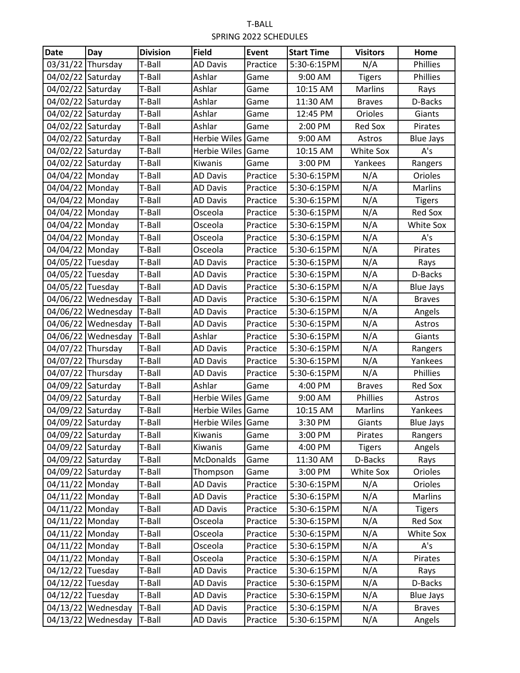| <b>Date</b>       | Day                | <b>Division</b> | <b>Field</b>        | <b>Event</b> | <b>Start Time</b> | <b>Visitors</b> | Home             |
|-------------------|--------------------|-----------------|---------------------|--------------|-------------------|-----------------|------------------|
| 03/31/22          | Thursday           | T-Ball          | <b>AD Davis</b>     | Practice     | 5:30-6:15PM       | N/A             | Phillies         |
| 04/02/22 Saturday |                    | T-Ball          | Ashlar              | Game         | 9:00 AM           | <b>Tigers</b>   | Phillies         |
| 04/02/22 Saturday |                    | T-Ball          | Ashlar              | Game         | 10:15 AM          | Marlins         | Rays             |
| 04/02/22 Saturday |                    | T-Ball          | Ashlar              | Game         | 11:30 AM          | <b>Braves</b>   | D-Backs          |
| 04/02/22 Saturday |                    | T-Ball          | Ashlar              | Game         | 12:45 PM          | Orioles         | Giants           |
| 04/02/22 Saturday |                    | T-Ball          | Ashlar              | Game         | 2:00 PM           | <b>Red Sox</b>  | Pirates          |
| 04/02/22 Saturday |                    | T-Ball          | <b>Herbie Wiles</b> | Game         | 9:00 AM           | Astros          | <b>Blue Jays</b> |
| 04/02/22 Saturday |                    | T-Ball          | <b>Herbie Wiles</b> | Game         | 10:15 AM          | White Sox       | A's              |
| 04/02/22 Saturday |                    | T-Ball          | Kiwanis             | Game         | 3:00 PM           | Yankees         | Rangers          |
| 04/04/22 Monday   |                    | T-Ball          | <b>AD Davis</b>     | Practice     | 5:30-6:15PM       | N/A             | Orioles          |
| 04/04/22 Monday   |                    | T-Ball          | <b>AD Davis</b>     | Practice     | 5:30-6:15PM       | N/A             | Marlins          |
| 04/04/22 Monday   |                    | T-Ball          | <b>AD Davis</b>     | Practice     | 5:30-6:15PM       | N/A             | <b>Tigers</b>    |
| 04/04/22 Monday   |                    | T-Ball          | Osceola             | Practice     | 5:30-6:15PM       | N/A             | <b>Red Sox</b>   |
| 04/04/22 Monday   |                    | T-Ball          | Osceola             | Practice     | 5:30-6:15PM       | N/A             | <b>White Sox</b> |
| 04/04/22 Monday   |                    | T-Ball          | Osceola             | Practice     | 5:30-6:15PM       | N/A             | A's              |
| 04/04/22 Monday   |                    | T-Ball          | Osceola             | Practice     | 5:30-6:15PM       | N/A             | Pirates          |
| 04/05/22 Tuesday  |                    | T-Ball          | <b>AD Davis</b>     | Practice     | 5:30-6:15PM       | N/A             | Rays             |
| 04/05/22 Tuesday  |                    | T-Ball          | <b>AD Davis</b>     | Practice     | 5:30-6:15PM       | N/A             | D-Backs          |
| 04/05/22 Tuesday  |                    | T-Ball          | <b>AD Davis</b>     | Practice     | 5:30-6:15PM       | N/A             | <b>Blue Jays</b> |
|                   | 04/06/22 Wednesday | T-Ball          | <b>AD Davis</b>     | Practice     | 5:30-6:15PM       | N/A             | <b>Braves</b>    |
|                   | 04/06/22 Wednesday | T-Ball          | <b>AD Davis</b>     | Practice     | 5:30-6:15PM       | N/A             | Angels           |
|                   | 04/06/22 Wednesday | T-Ball          | <b>AD Davis</b>     | Practice     | 5:30-6:15PM       | N/A             | Astros           |
|                   | 04/06/22 Wednesday | T-Ball          | Ashlar              | Practice     | 5:30-6:15PM       | N/A             | Giants           |
| 04/07/22 Thursday |                    | T-Ball          | <b>AD Davis</b>     | Practice     | 5:30-6:15PM       | N/A             | Rangers          |
| 04/07/22 Thursday |                    | T-Ball          | <b>AD Davis</b>     | Practice     | 5:30-6:15PM       | N/A             | Yankees          |
| 04/07/22 Thursday |                    | T-Ball          | <b>AD Davis</b>     | Practice     | 5:30-6:15PM       | N/A             | Phillies         |
| 04/09/22 Saturday |                    | T-Ball          | Ashlar              | Game         | 4:00 PM           | <b>Braves</b>   | <b>Red Sox</b>   |
| 04/09/22 Saturday |                    | T-Ball          | Herbie Wiles        | <b>Game</b>  | 9:00 AM           | Phillies        | Astros           |
| 04/09/22 Saturday |                    | T-Ball          | Herbie Wiles Game   |              | 10:15 AM          | Marlins         | Yankees          |
| 04/09/22 Saturday |                    | T-Ball          | Herbie Wiles Game   |              | 3:30 PM           | Giants          | <b>Blue Jays</b> |
| 04/09/22 Saturday |                    | T-Ball          | Kiwanis             | Game         | 3:00 PM           | Pirates         | Rangers          |
| 04/09/22 Saturday |                    | T-Ball          | Kiwanis             | Game         | 4:00 PM           | <b>Tigers</b>   | Angels           |
| 04/09/22 Saturday |                    | T-Ball          | <b>McDonalds</b>    | Game         | 11:30 AM          | D-Backs         | Rays             |
| 04/09/22 Saturday |                    | T-Ball          | Thompson            | Game         | 3:00 PM           | White Sox       | Orioles          |
| 04/11/22 Monday   |                    | T-Ball          | <b>AD Davis</b>     | Practice     | 5:30-6:15PM       | N/A             | Orioles          |
| 04/11/22 Monday   |                    | T-Ball          | <b>AD Davis</b>     | Practice     | 5:30-6:15PM       | N/A             | Marlins          |
| 04/11/22 Monday   |                    | T-Ball          | <b>AD Davis</b>     | Practice     | 5:30-6:15PM       | N/A             | <b>Tigers</b>    |
| 04/11/22 Monday   |                    | T-Ball          | Osceola             | Practice     | 5:30-6:15PM       | N/A             | <b>Red Sox</b>   |
| 04/11/22 Monday   |                    | T-Ball          | Osceola             | Practice     | 5:30-6:15PM       | N/A             | <b>White Sox</b> |
| 04/11/22 Monday   |                    | T-Ball          | Osceola             | Practice     | 5:30-6:15PM       | N/A             | A's              |
| 04/11/22 Monday   |                    | T-Ball          | Osceola             | Practice     | 5:30-6:15PM       | N/A             | Pirates          |
| 04/12/22 Tuesday  |                    | T-Ball          | <b>AD Davis</b>     | Practice     | 5:30-6:15PM       | N/A             | Rays             |
| 04/12/22 Tuesday  |                    | T-Ball          | <b>AD Davis</b>     | Practice     | 5:30-6:15PM       | N/A             | D-Backs          |
| 04/12/22 Tuesday  |                    | T-Ball          | <b>AD Davis</b>     | Practice     | 5:30-6:15PM       | N/A             | <b>Blue Jays</b> |
|                   | 04/13/22 Wednesday | T-Ball          | <b>AD Davis</b>     | Practice     | 5:30-6:15PM       | N/A             | <b>Braves</b>    |
|                   | 04/13/22 Wednesday | T-Ball          | <b>AD Davis</b>     | Practice     | 5:30-6:15PM       | N/A             | Angels           |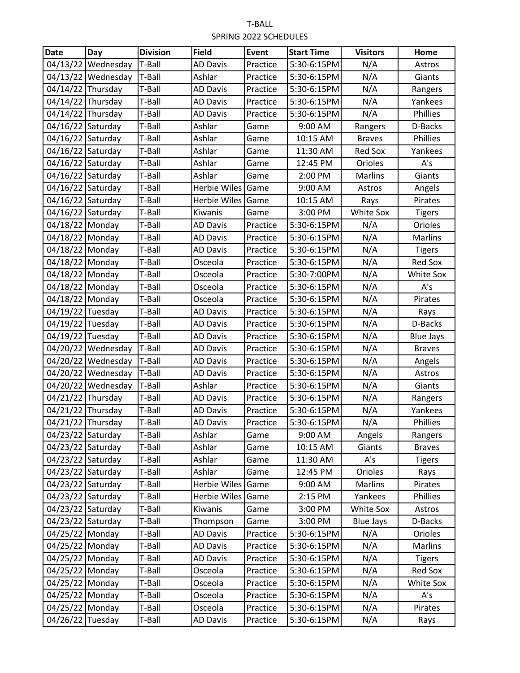| <b>Date</b>                        | Day                | <b>Division</b>  | <b>Field</b>        | <b>Event</b>         | <b>Start Time</b>          | <b>Visitors</b>  | Home             |
|------------------------------------|--------------------|------------------|---------------------|----------------------|----------------------------|------------------|------------------|
| 04/13/22                           | Wednesday          | T-Ball           | <b>AD Davis</b>     | Practice             | 5:30-6:15PM                | N/A              | Astros           |
|                                    | 04/13/22 Wednesday | T-Ball           | Ashlar              | Practice             | 5:30-6:15PM                | N/A              | Giants           |
| 04/14/22 Thursday                  |                    | T-Ball           | <b>AD Davis</b>     | Practice             | 5:30-6:15PM                | N/A              | Rangers          |
| 04/14/22 Thursday                  |                    | T-Ball           | <b>AD Davis</b>     | Practice             | 5:30-6:15PM                | N/A              | Yankees          |
| 04/14/22 Thursday                  |                    | T-Ball           | <b>AD Davis</b>     | Practice             | 5:30-6:15PM                | N/A              | Phillies         |
| 04/16/22 Saturday                  |                    | T-Ball           | Ashlar              | Game                 | 9:00 AM                    | Rangers          | D-Backs          |
| 04/16/22 Saturday                  |                    | T-Ball           | Ashlar              | Game                 | 10:15 AM                   | <b>Braves</b>    | Phillies         |
| 04/16/22 Saturday                  |                    | T-Ball           | Ashlar              | Game                 | 11:30 AM                   | <b>Red Sox</b>   | Yankees          |
| 04/16/22 Saturday                  |                    | T-Ball           | Ashlar              | Game                 | 12:45 PM                   | Orioles          | A's              |
| 04/16/22 Saturday                  |                    | T-Ball           | Ashlar              | Game                 | 2:00 PM                    | Marlins          | Giants           |
| 04/16/22 Saturday                  |                    | T-Ball           | Herbie Wiles        | Game                 | 9:00 AM                    | Astros           | Angels           |
| 04/16/22 Saturday                  |                    | T-Ball           | <b>Herbie Wiles</b> | Game                 | 10:15 AM                   | Rays             | Pirates          |
| 04/16/22 Saturday                  |                    | T-Ball           | Kiwanis             | Game                 | 3:00 PM                    | White Sox        | <b>Tigers</b>    |
| 04/18/22 Monday                    |                    | T-Ball           | <b>AD Davis</b>     | Practice             | 5:30-6:15PM                | N/A              | Orioles          |
| 04/18/22 Monday                    |                    | T-Ball           | <b>AD Davis</b>     | Practice             | 5:30-6:15PM                | N/A              | Marlins          |
| 04/18/22 Monday                    |                    | T-Ball           | <b>AD Davis</b>     | Practice             | 5:30-6:15PM                | N/A              | <b>Tigers</b>    |
| 04/18/22 Monday                    |                    | T-Ball           | Osceola             | Practice             | 5:30-6:15PM                | N/A              | <b>Red Sox</b>   |
| 04/18/22 Monday                    |                    | T-Ball           | Osceola             | Practice             | 5:30-7:00PM                | N/A              | White Sox        |
| 04/18/22 Monday                    |                    | T-Ball           | Osceola             | Practice             | 5:30-6:15PM                | N/A              | A's              |
| 04/18/22 Monday                    |                    | T-Ball           | Osceola             | Practice             | 5:30-6:15PM                | N/A              | Pirates          |
| 04/19/22 Tuesday                   |                    | T-Ball           | <b>AD Davis</b>     | Practice             | 5:30-6:15PM                | N/A              | Rays             |
| 04/19/22 Tuesday                   |                    | T-Ball           | <b>AD Davis</b>     | Practice             | 5:30-6:15PM                | N/A              | D-Backs          |
| 04/19/22 Tuesday                   |                    | T-Ball           | <b>AD Davis</b>     | Practice             | 5:30-6:15PM                | N/A              | <b>Blue Jays</b> |
|                                    | 04/20/22 Wednesday | T-Ball           | <b>AD Davis</b>     | Practice             | 5:30-6:15PM                | N/A              | <b>Braves</b>    |
|                                    | 04/20/22 Wednesday | T-Ball           | <b>AD Davis</b>     | Practice             | 5:30-6:15PM                | N/A              | Angels           |
|                                    | 04/20/22 Wednesday | T-Ball           | <b>AD Davis</b>     | Practice             | 5:30-6:15PM                | N/A              | Astros           |
|                                    | 04/20/22 Wednesday | T-Ball           | Ashlar              | Practice             | 5:30-6:15PM                | N/A              | Giants           |
| 04/21/22 Thursday                  |                    | T-Ball           | <b>AD Davis</b>     | Practice             | 5:30-6:15PM                | N/A              | Rangers          |
| 04/21/22 Thursday                  |                    | T-Ball           | <b>AD Davis</b>     | Practice             | 5:30-6:15PM                | N/A              | Yankees          |
| 04/21/22 Thursday                  |                    | T-Ball           | <b>AD Davis</b>     | Practice             | 5:30-6:15PM                | N/A              | Phillies         |
| 04/23/22 Saturday                  |                    | T-Ball           | Ashlar              | Game                 | 9:00 AM                    | Angels           | Rangers          |
| 04/23/22 Saturday                  |                    | T-Ball           | Ashlar              | Game                 | 10:15 AM                   | Giants           | <b>Braves</b>    |
| 04/23/22 Saturday                  |                    | T-Ball           | Ashlar              | Game                 | 11:30 AM                   | A's              | <b>Tigers</b>    |
| 04/23/22 Saturday                  |                    | T-Ball           | Ashlar              | Game                 | 12:45 PM                   | Orioles          | Rays             |
| 04/23/22 Saturday                  |                    | T-Ball           | <b>Herbie Wiles</b> | Game                 | 9:00 AM                    | Marlins          | Pirates          |
| 04/23/22 Saturday                  |                    | T-Ball           | <b>Herbie Wiles</b> | Game                 | 2:15 PM                    | Yankees          | Phillies         |
| 04/23/22 Saturday                  |                    | T-Ball           | Kiwanis             | Game                 | 3:00 PM                    | White Sox        | Astros           |
| 04/23/22 Saturday                  |                    | T-Ball           | Thompson            | Game                 | 3:00 PM                    | <b>Blue Jays</b> | D-Backs          |
| 04/25/22 Monday                    |                    | T-Ball           | <b>AD Davis</b>     | Practice             | 5:30-6:15PM                | N/A              | Orioles          |
| 04/25/22 Monday                    |                    | T-Ball           | <b>AD Davis</b>     | Practice             | 5:30-6:15PM                | N/A              | Marlins          |
| 04/25/22 Monday                    |                    | T-Ball           | <b>AD Davis</b>     | Practice             | 5:30-6:15PM                | N/A              | <b>Tigers</b>    |
| 04/25/22 Monday                    |                    | T-Ball           | Osceola             | Practice             | 5:30-6:15PM                | N/A              | <b>Red Sox</b>   |
| 04/25/22 Monday                    |                    | T-Ball<br>T-Ball | Osceola             | Practice<br>Practice | 5:30-6:15PM                | N/A              | White Sox        |
| 04/25/22 Monday<br>04/25/22 Monday |                    | T-Ball           | Osceola<br>Osceola  | Practice             | 5:30-6:15PM<br>5:30-6:15PM | N/A<br>N/A       | A's              |
|                                    |                    |                  |                     |                      |                            |                  | Pirates          |
| 04/26/22 Tuesday                   |                    | T-Ball           | <b>AD Davis</b>     | Practice             | 5:30-6:15PM                | N/A              | Rays             |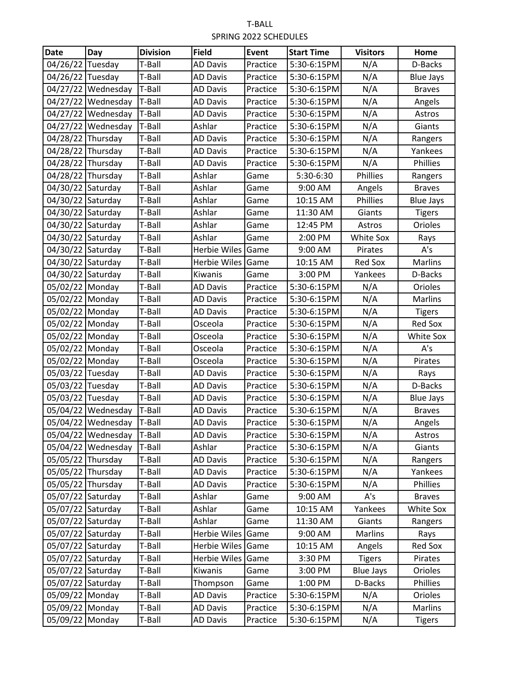| <b>Date</b>       | Day                       | <b>Division</b> | <b>Field</b>        | <b>Event</b> | <b>Start Time</b> | <b>Visitors</b>  | Home             |
|-------------------|---------------------------|-----------------|---------------------|--------------|-------------------|------------------|------------------|
| 04/26/22 Tuesday  |                           | T-Ball          | <b>AD Davis</b>     | Practice     | 5:30-6:15PM       | N/A              | D-Backs          |
| 04/26/22 Tuesday  |                           | T-Ball          | <b>AD Davis</b>     | Practice     | 5:30-6:15PM       | N/A              | <b>Blue Jays</b> |
|                   | 04/27/22 Wednesday        | T-Ball          | <b>AD Davis</b>     | Practice     | 5:30-6:15PM       | N/A              | <b>Braves</b>    |
|                   | 04/27/22 Wednesday        | T-Ball          | <b>AD Davis</b>     | Practice     | 5:30-6:15PM       | N/A              | Angels           |
|                   | 04/27/22 Wednesday        | T-Ball          | <b>AD Davis</b>     | Practice     | 5:30-6:15PM       | N/A              | Astros           |
|                   | 04/27/22 Wednesday        | T-Ball          | Ashlar              | Practice     | 5:30-6:15PM       | N/A              | Giants           |
| 04/28/22 Thursday |                           | T-Ball          | <b>AD Davis</b>     | Practice     | 5:30-6:15PM       | N/A              | Rangers          |
| 04/28/22 Thursday |                           | T-Ball          | <b>AD Davis</b>     | Practice     | 5:30-6:15PM       | N/A              | Yankees          |
| 04/28/22 Thursday |                           | T-Ball          | <b>AD Davis</b>     | Practice     | 5:30-6:15PM       | N/A              | Phillies         |
| 04/28/22 Thursday |                           | T-Ball          | Ashlar              | Game         | 5:30-6:30         | Phillies         | Rangers          |
| 04/30/22 Saturday |                           | T-Ball          | Ashlar              | Game         | 9:00 AM           | Angels           | <b>Braves</b>    |
| 04/30/22 Saturday |                           | T-Ball          | Ashlar              | Game         | 10:15 AM          | Phillies         | <b>Blue Jays</b> |
| 04/30/22 Saturday |                           | T-Ball          | Ashlar              | Game         | 11:30 AM          | Giants           | <b>Tigers</b>    |
| 04/30/22 Saturday |                           | T-Ball          | Ashlar              | Game         | 12:45 PM          | Astros           | Orioles          |
| 04/30/22 Saturday |                           | T-Ball          | Ashlar              | Game         | 2:00 PM           | White Sox        | Rays             |
| 04/30/22 Saturday |                           | T-Ball          | <b>Herbie Wiles</b> | Game         | 9:00 AM           | Pirates          | A's              |
| 04/30/22 Saturday |                           | T-Ball          | <b>Herbie Wiles</b> | Game         | 10:15 AM          | <b>Red Sox</b>   | Marlins          |
| 04/30/22 Saturday |                           | T-Ball          | Kiwanis             | Game         | 3:00 PM           | Yankees          | D-Backs          |
| 05/02/22 Monday   |                           | T-Ball          | <b>AD Davis</b>     | Practice     | 5:30-6:15PM       | N/A              | Orioles          |
| 05/02/22 Monday   |                           | T-Ball          | <b>AD Davis</b>     | Practice     | 5:30-6:15PM       | N/A              | Marlins          |
| 05/02/22 Monday   |                           | T-Ball          | <b>AD Davis</b>     | Practice     | 5:30-6:15PM       | N/A              | <b>Tigers</b>    |
| 05/02/22 Monday   |                           | T-Ball          | Osceola             | Practice     | 5:30-6:15PM       | N/A              | <b>Red Sox</b>   |
| 05/02/22 Monday   |                           | T-Ball          | Osceola             | Practice     | 5:30-6:15PM       | N/A              | White Sox        |
| 05/02/22 Monday   |                           | T-Ball          | Osceola             | Practice     | 5:30-6:15PM       | N/A              | A's              |
| 05/02/22 Monday   |                           | T-Ball          | Osceola             | Practice     | 5:30-6:15PM       | N/A              | Pirates          |
| 05/03/22 Tuesday  |                           | T-Ball          | <b>AD Davis</b>     | Practice     | 5:30-6:15PM       | N/A              | Rays             |
| 05/03/22 Tuesday  |                           | T-Ball          | <b>AD Davis</b>     | Practice     | 5:30-6:15PM       | N/A              | D-Backs          |
| 05/03/22 Tuesday  |                           | T-Ball          | <b>AD Davis</b>     | Practice     | 5:30-6:15PM       | N/A              | <b>Blue Jays</b> |
|                   | 05/04/22 Wednesday        | T-Ball          | <b>AD Davis</b>     | Practice     | 5:30-6:15PM       | N/A              | <b>Braves</b>    |
|                   | 05/04/22 Wednesday T-Ball |                 | <b>AD Davis</b>     | Practice     | 5:30-6:15PM       | N/A              | Angels           |
|                   | 05/04/22 Wednesday        | T-Ball          | <b>AD Davis</b>     | Practice     | 5:30-6:15PM       | N/A              | Astros           |
|                   | 05/04/22 Wednesday        | T-Ball          | Ashlar              | Practice     | 5:30-6:15PM       | N/A              | Giants           |
| 05/05/22 Thursday |                           | T-Ball          | <b>AD Davis</b>     | Practice     | 5:30-6:15PM       | N/A              | Rangers          |
| 05/05/22 Thursday |                           | T-Ball          | <b>AD Davis</b>     | Practice     | 5:30-6:15PM       | N/A              | Yankees          |
| 05/05/22 Thursday |                           | T-Ball          | <b>AD Davis</b>     | Practice     | 5:30-6:15PM       | N/A              | Phillies         |
| 05/07/22 Saturday |                           | T-Ball          | Ashlar              | Game         | 9:00 AM           | A's              | <b>Braves</b>    |
| 05/07/22 Saturday |                           | T-Ball          | Ashlar              | Game         | 10:15 AM          | Yankees          | White Sox        |
| 05/07/22 Saturday |                           | T-Ball          | Ashlar              | Game         | 11:30 AM          | Giants           | Rangers          |
| 05/07/22 Saturday |                           | T-Ball          | <b>Herbie Wiles</b> | Game         | 9:00 AM           | Marlins          | Rays             |
| 05/07/22 Saturday |                           | T-Ball          | Herbie Wiles        | Game         | 10:15 AM          | Angels           | <b>Red Sox</b>   |
| 05/07/22 Saturday |                           | T-Ball          | Herbie Wiles        | Game         | 3:30 PM           | <b>Tigers</b>    | Pirates          |
| 05/07/22 Saturday |                           | T-Ball          | Kiwanis             | Game         | 3:00 PM           | <b>Blue Jays</b> | Orioles          |
| 05/07/22 Saturday |                           | T-Ball          | Thompson            | Game         | 1:00 PM           | D-Backs          | Phillies         |
| 05/09/22 Monday   |                           | T-Ball          | <b>AD Davis</b>     | Practice     | 5:30-6:15PM       | N/A              | Orioles          |
| 05/09/22 Monday   |                           | T-Ball          | <b>AD Davis</b>     | Practice     | 5:30-6:15PM       | N/A              | Marlins          |
| 05/09/22 Monday   |                           | T-Ball          | <b>AD Davis</b>     | Practice     | 5:30-6:15PM       | N/A              | <b>Tigers</b>    |